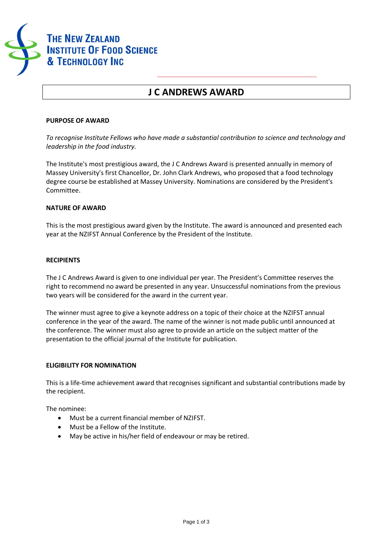

## **J C ANDREWS AWARD**

#### **PURPOSE OF AWARD**

*To recognise Institute Fellows who have made a substantial contribution to science and technology and leadership in the food industry.*

The Institute's most prestigious award, the J C Andrews Award is presented annually in memory of Massey University's first Chancellor, Dr. John Clark Andrews, who proposed that a food technology degree course be established at Massey University. Nominations are considered by the President's Committee.

#### **NATURE OF AWARD**

This is the most prestigious award given by the Institute. The award is announced and presented each year at the NZIFST Annual Conference by the President of the Institute.

#### **RECIPIENTS**

The J C Andrews Award is given to one individual per year. The President's Committee reserves the right to recommend no award be presented in any year. Unsuccessful nominations from the previous two years will be considered for the award in the current year.

The winner must agree to give a keynote address on a topic of their choice at the NZIFST annual conference in the year of the award. The name of the winner is not made public until announced at the conference. The winner must also agree to provide an article on the subject matter of the presentation to the official journal of the Institute for publication.

#### **ELIGIBILITY FOR NOMINATION**

This is a life-time achievement award that recognises significant and substantial contributions made by the recipient.

The nominee:

- · Must be a current financial member of NZIFST.
- · Must be a Fellow of the Institute.
- · May be active in his/her field of endeavour or may be retired.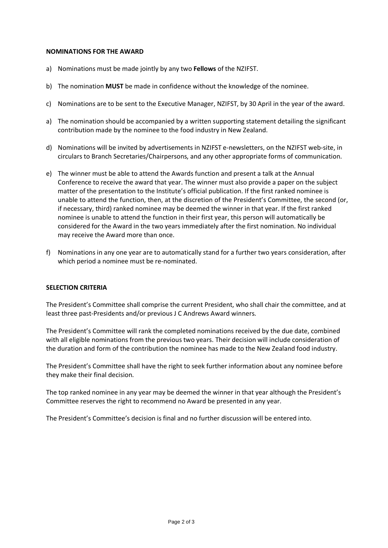#### **NOMINATIONS FOR THE AWARD**

- a) Nominations must be made jointly by any two **Fellows** of the NZIFST.
- b) The nomination **MUST** be made in confidence without the knowledge of the nominee.
- c) Nominations are to be sent to the Executive Manager, NZIFST, by 30 April in the year of the award.
- a) The nomination should be accompanied by a written supporting statement detailing the significant contribution made by the nominee to the food industry in New Zealand.
- d) Nominations will be invited by advertisements in NZIFST e-newsletters, on the NZIFST web-site, in circulars to Branch Secretaries/Chairpersons, and any other appropriate forms of communication.
- e) The winner must be able to attend the Awards function and present a talk at the Annual Conference to receive the award that year. The winner must also provide a paper on the subject matter of the presentation to the Institute's official publication. If the first ranked nominee is unable to attend the function, then, at the discretion of the President's Committee, the second (or, if necessary, third) ranked nominee may be deemed the winner in that year. If the first ranked nominee is unable to attend the function in their first year, this person will automatically be considered for the Award in the two years immediately after the first nomination. No individual may receive the Award more than once.
- f) Nominations in any one year are to automatically stand for a further two years consideration, after which period a nominee must be re-nominated.

### **SELECTION CRITERIA**

The President's Committee shall comprise the current President, who shall chair the committee, and at least three past-Presidents and/or previous J C Andrews Award winners.

The President's Committee will rank the completed nominations received by the due date, combined with all eligible nominations from the previous two years. Their decision will include consideration of the duration and form of the contribution the nominee has made to the New Zealand food industry.

The President's Committee shall have the right to seek further information about any nominee before they make their final decision.

The top ranked nominee in any year may be deemed the winner in that year although the President's Committee reserves the right to recommend no Award be presented in any year.

The President's Committee's decision is final and no further discussion will be entered into.